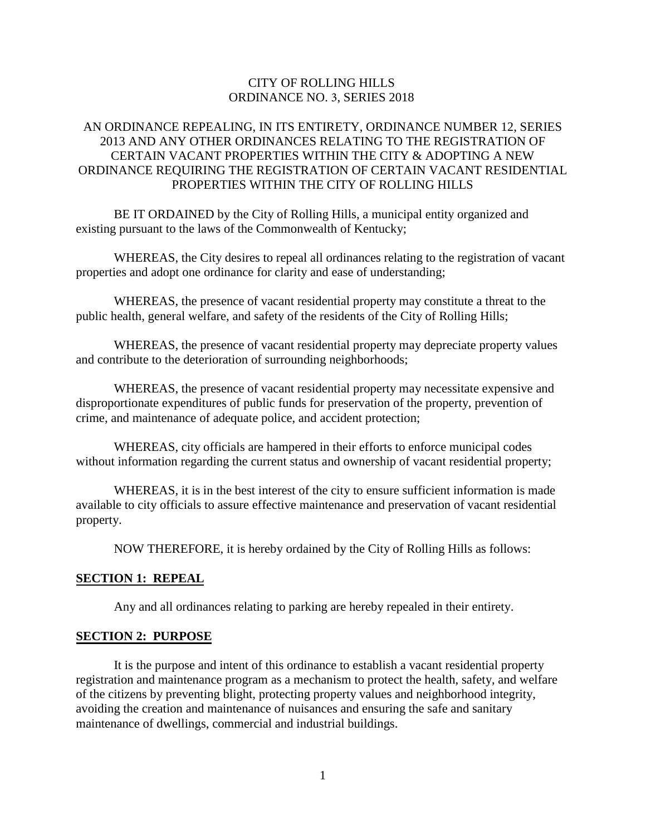## CITY OF ROLLING HILLS ORDINANCE NO. 3, SERIES 2018

## AN ORDINANCE REPEALING, IN ITS ENTIRETY, ORDINANCE NUMBER 12, SERIES 2013 AND ANY OTHER ORDINANCES RELATING TO THE REGISTRATION OF CERTAIN VACANT PROPERTIES WITHIN THE CITY & ADOPTING A NEW ORDINANCE REQUIRING THE REGISTRATION OF CERTAIN VACANT RESIDENTIAL PROPERTIES WITHIN THE CITY OF ROLLING HILLS

BE IT ORDAINED by the City of Rolling Hills, a municipal entity organized and existing pursuant to the laws of the Commonwealth of Kentucky;

WHEREAS, the City desires to repeal all ordinances relating to the registration of vacant properties and adopt one ordinance for clarity and ease of understanding;

WHEREAS, the presence of vacant residential property may constitute a threat to the public health, general welfare, and safety of the residents of the City of Rolling Hills;

WHEREAS, the presence of vacant residential property may depreciate property values and contribute to the deterioration of surrounding neighborhoods;

WHEREAS, the presence of vacant residential property may necessitate expensive and disproportionate expenditures of public funds for preservation of the property, prevention of crime, and maintenance of adequate police, and accident protection;

WHEREAS, city officials are hampered in their efforts to enforce municipal codes without information regarding the current status and ownership of vacant residential property;

WHEREAS, it is in the best interest of the city to ensure sufficient information is made available to city officials to assure effective maintenance and preservation of vacant residential property.

NOW THEREFORE, it is hereby ordained by the City of Rolling Hills as follows:

#### **SECTION 1: REPEAL**

Any and all ordinances relating to parking are hereby repealed in their entirety.

#### **SECTION 2: PURPOSE**

It is the purpose and intent of this ordinance to establish a vacant residential property registration and maintenance program as a mechanism to protect the health, safety, and welfare of the citizens by preventing blight, protecting property values and neighborhood integrity, avoiding the creation and maintenance of nuisances and ensuring the safe and sanitary maintenance of dwellings, commercial and industrial buildings.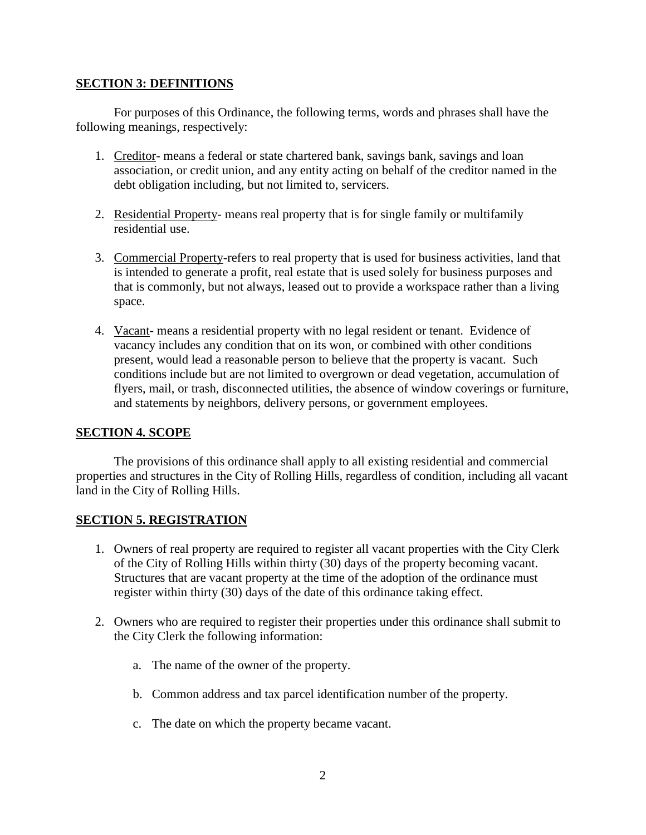#### **SECTION 3: DEFINITIONS**

For purposes of this Ordinance, the following terms, words and phrases shall have the following meanings, respectively:

- 1. Creditor- means a federal or state chartered bank, savings bank, savings and loan association, or credit union, and any entity acting on behalf of the creditor named in the debt obligation including, but not limited to, servicers.
- 2. Residential Property- means real property that is for single family or multifamily residential use.
- 3. Commercial Property-refers to real property that is used for business activities, land that is intended to generate a profit, real estate that is used solely for business purposes and that is commonly, but not always, leased out to provide a workspace rather than a living space.
- 4. Vacant- means a residential property with no legal resident or tenant. Evidence of vacancy includes any condition that on its won, or combined with other conditions present, would lead a reasonable person to believe that the property is vacant. Such conditions include but are not limited to overgrown or dead vegetation, accumulation of flyers, mail, or trash, disconnected utilities, the absence of window coverings or furniture, and statements by neighbors, delivery persons, or government employees.

# **SECTION 4. SCOPE**

The provisions of this ordinance shall apply to all existing residential and commercial properties and structures in the City of Rolling Hills, regardless of condition, including all vacant land in the City of Rolling Hills.

# **SECTION 5. REGISTRATION**

- 1. Owners of real property are required to register all vacant properties with the City Clerk of the City of Rolling Hills within thirty (30) days of the property becoming vacant. Structures that are vacant property at the time of the adoption of the ordinance must register within thirty (30) days of the date of this ordinance taking effect.
- 2. Owners who are required to register their properties under this ordinance shall submit to the City Clerk the following information:
	- a. The name of the owner of the property.
	- b. Common address and tax parcel identification number of the property.
	- c. The date on which the property became vacant.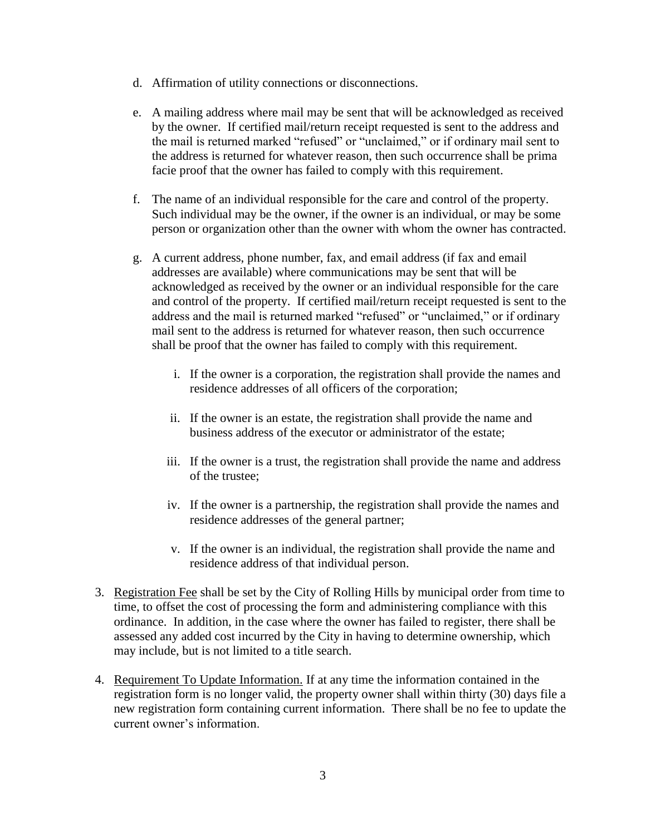- d. Affirmation of utility connections or disconnections.
- e. A mailing address where mail may be sent that will be acknowledged as received by the owner. If certified mail/return receipt requested is sent to the address and the mail is returned marked "refused" or "unclaimed," or if ordinary mail sent to the address is returned for whatever reason, then such occurrence shall be prima facie proof that the owner has failed to comply with this requirement.
- f. The name of an individual responsible for the care and control of the property. Such individual may be the owner, if the owner is an individual, or may be some person or organization other than the owner with whom the owner has contracted.
- g. A current address, phone number, fax, and email address (if fax and email addresses are available) where communications may be sent that will be acknowledged as received by the owner or an individual responsible for the care and control of the property. If certified mail/return receipt requested is sent to the address and the mail is returned marked "refused" or "unclaimed," or if ordinary mail sent to the address is returned for whatever reason, then such occurrence shall be proof that the owner has failed to comply with this requirement.
	- i. If the owner is a corporation, the registration shall provide the names and residence addresses of all officers of the corporation;
	- ii. If the owner is an estate, the registration shall provide the name and business address of the executor or administrator of the estate;
	- iii. If the owner is a trust, the registration shall provide the name and address of the trustee;
	- iv. If the owner is a partnership, the registration shall provide the names and residence addresses of the general partner;
	- v. If the owner is an individual, the registration shall provide the name and residence address of that individual person.
- 3. Registration Fee shall be set by the City of Rolling Hills by municipal order from time to time, to offset the cost of processing the form and administering compliance with this ordinance. In addition, in the case where the owner has failed to register, there shall be assessed any added cost incurred by the City in having to determine ownership, which may include, but is not limited to a title search.
- 4. Requirement To Update Information. If at any time the information contained in the registration form is no longer valid, the property owner shall within thirty (30) days file a new registration form containing current information. There shall be no fee to update the current owner's information.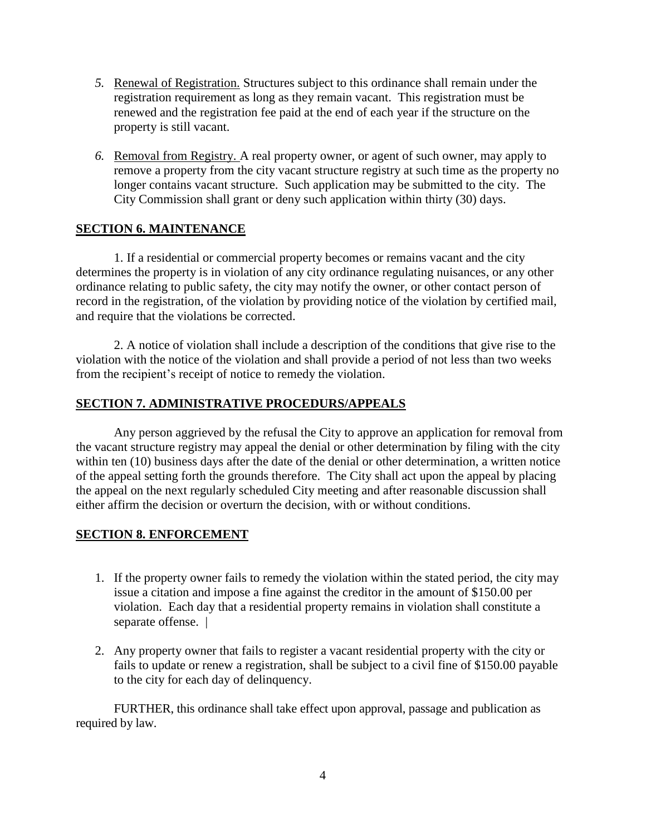- *5.* Renewal of Registration. Structures subject to this ordinance shall remain under the registration requirement as long as they remain vacant. This registration must be renewed and the registration fee paid at the end of each year if the structure on the property is still vacant.
- *6.* Removal from Registry. A real property owner, or agent of such owner, may apply to remove a property from the city vacant structure registry at such time as the property no longer contains vacant structure. Such application may be submitted to the city. The City Commission shall grant or deny such application within thirty (30) days.

## **SECTION 6. MAINTENANCE**

1. If a residential or commercial property becomes or remains vacant and the city determines the property is in violation of any city ordinance regulating nuisances, or any other ordinance relating to public safety, the city may notify the owner, or other contact person of record in the registration, of the violation by providing notice of the violation by certified mail, and require that the violations be corrected.

2. A notice of violation shall include a description of the conditions that give rise to the violation with the notice of the violation and shall provide a period of not less than two weeks from the recipient's receipt of notice to remedy the violation.

## **SECTION 7. ADMINISTRATIVE PROCEDURS/APPEALS**

Any person aggrieved by the refusal the City to approve an application for removal from the vacant structure registry may appeal the denial or other determination by filing with the city within ten (10) business days after the date of the denial or other determination, a written notice of the appeal setting forth the grounds therefore. The City shall act upon the appeal by placing the appeal on the next regularly scheduled City meeting and after reasonable discussion shall either affirm the decision or overturn the decision, with or without conditions.

# **SECTION 8. ENFORCEMENT**

- 1. If the property owner fails to remedy the violation within the stated period, the city may issue a citation and impose a fine against the creditor in the amount of \$150.00 per violation. Each day that a residential property remains in violation shall constitute a separate offense. |
- 2. Any property owner that fails to register a vacant residential property with the city or fails to update or renew a registration, shall be subject to a civil fine of \$150.00 payable to the city for each day of delinquency.

FURTHER, this ordinance shall take effect upon approval, passage and publication as required by law.